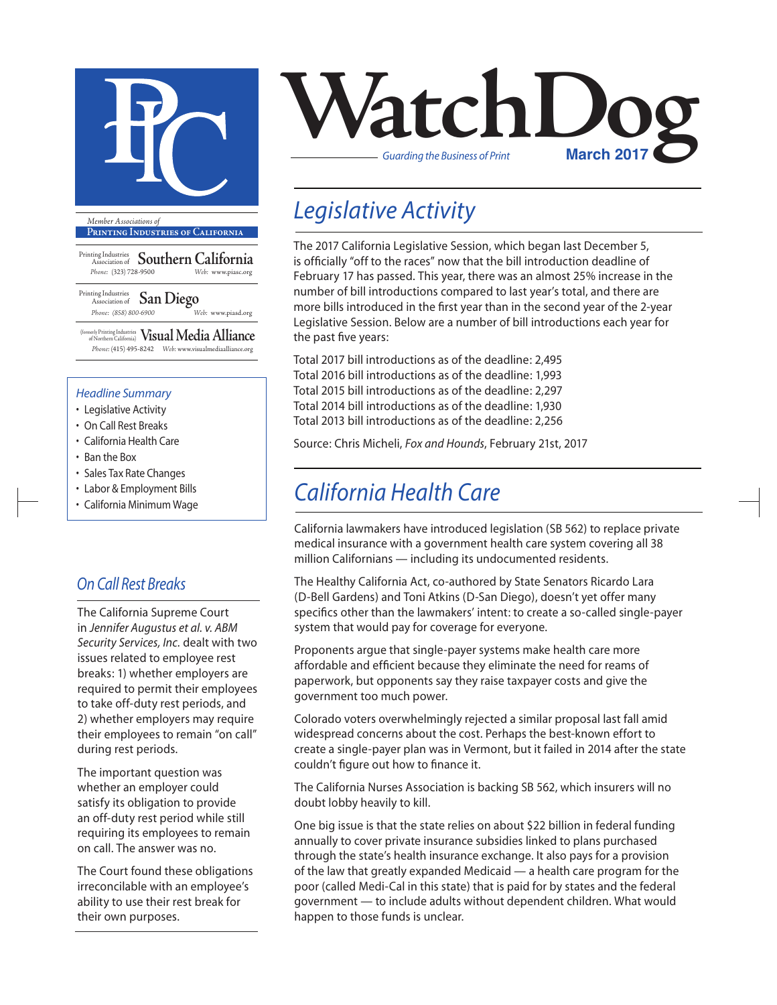

**Printing Industries of California**

Printing Industries Association of **Southern California** *Phone:* (323) 728-9500 *Web:* www.piasc.org

Printing Industries Association of **San Diego** *Phone: (858) 800-6900 Web:* www.piasd.org

(formerly Printing Industries of Northern California) **Visual Media Alliance** *Phone:* (415) 495-8242 *Web:* www.visualmediaalliance.org

#### *Headline Summary*

- Legislative Activity
- On Call Rest Breaks
- California Health Care
- Ban the Box
- Sales Tax Rate Changes
- Labor & Employment Bills
- California Minimum Wage

### *On Call Rest Breaks*

The California Supreme Court in *Jennifer Augustus et al. v. ABM Security Services, Inc.* dealt with two issues related to employee rest breaks: 1) whether employers are required to permit their employees to take off-duty rest periods, and 2) whether employers may require their employees to remain "on call" during rest periods.

The important question was whether an employer could satisfy its obligation to provide an off-duty rest period while still requiring its employees to remain on call. The answer was no.

The Court found these obligations irreconcilable with an employee's ability to use their rest break for their own purposes.



## *Legislative Activity*

The 2017 California Legislative Session, which began last December 5, is officially "off to the races" now that the bill introduction deadline of February 17 has passed. This year, there was an almost 25% increase in the number of bill introductions compared to last year's total, and there are more bills introduced in the first year than in the second year of the 2-year Legislative Session. Below are a number of bill introductions each year for the past five years:

Total 2017 bill introductions as of the deadline: 2,495 Total 2016 bill introductions as of the deadline: 1,993 Total 2015 bill introductions as of the deadline: 2,297 Total 2014 bill introductions as of the deadline: 1,930 Total 2013 bill introductions as of the deadline: 2,256

Source: Chris Micheli, *Fox and Hounds*, February 21st, 2017

## *California Health Care*

California lawmakers have introduced legislation (SB 562) to replace private medical insurance with a government health care system covering all 38 million Californians — including its undocumented residents.

The Healthy California Act, co-authored by State Senators Ricardo Lara (D-Bell Gardens) and Toni Atkins (D-San Diego), doesn't yet offer many specifics other than the lawmakers' intent: to create a so-called single-payer system that would pay for coverage for everyone.

Proponents argue that single-payer systems make health care more affordable and efficient because they eliminate the need for reams of paperwork, but opponents say they raise taxpayer costs and give the government too much power.

Colorado voters overwhelmingly rejected a similar proposal last fall amid widespread concerns about the cost. Perhaps the best-known effort to create a single-payer plan was in Vermont, but it failed in 2014 after the state couldn't figure out how to finance it.

The California Nurses Association is backing SB 562, which insurers will no doubt lobby heavily to kill.

One big issue is that the state relies on about \$22 billion in federal funding annually to cover private insurance subsidies linked to plans purchased through the state's health insurance exchange. It also pays for a provision of the law that greatly expanded Medicaid — a health care program for the poor (called Medi-Cal in this state) that is paid for by states and the federal government — to include adults without dependent children. What would happen to those funds is unclear.